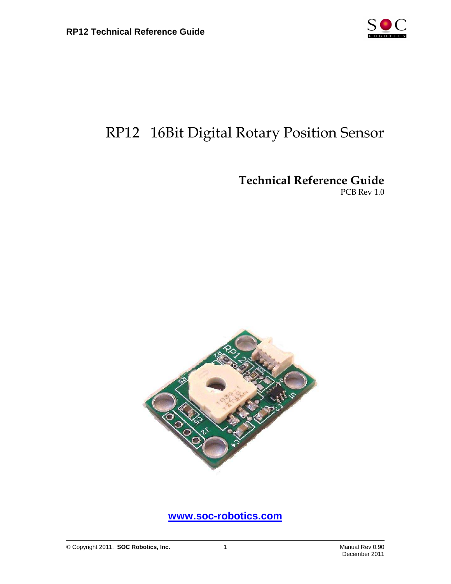

## RP12 16Bit Digital Rotary Position Sensor

Technical Reference Guide

PCB Rev 1.0



**www.soc-robotics.com**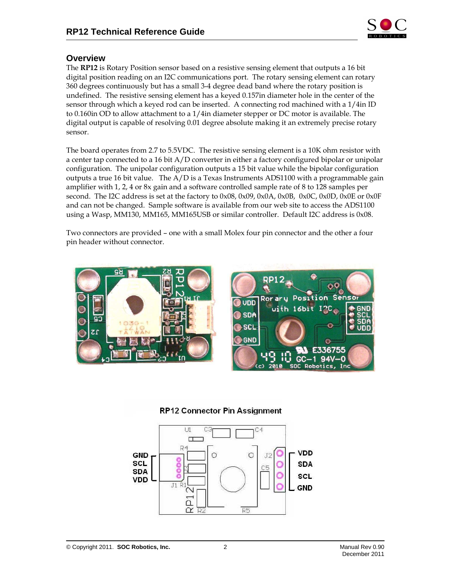

## **Overview**

The RP12 is Rotary Position sensor based on a resistive sensing element that outputs a 16 bit digital position reading on an I2C communications port. The rotary sensing element can rotary 360 degrees continuously but has a small 3-4 degree dead band where the rotary position is undefined. The resistive sensing element has a keyed 0.157in diameter hole in the center of the sensor through which a keyed rod can be inserted. A connecting rod machined with a 1/4in ID to 0.160in OD to allow attachment to a 1/4in diameter stepper or DC motor is available. The digital output is capable of resolving 0.01 degree absolute making it an extremely precise rotary sensor.

The board operates from 2.7 to 5.5VDC. The resistive sensing element is a 10K ohm resistor with a center tap connected to a 16 bit A/D converter in either a factory configured bipolar or unipolar configuration. The unipolar configuration outputs a 15 bit value while the bipolar configuration outputs a true 16 bit value. The  $A/D$  is a Texas Instruments ADS1100 with a programmable gain amplifier with 1, 2, 4 or 8x gain and a software controlled sample rate of 8 to 128 samples per second. The I2C address is set at the factory to 0x08, 0x09, 0x0A, 0x0B, 0x0C, 0x0D, 0x0E or 0x0F and can not be changed. Sample software is available from our web site to access the ADS1100 using a Wasp, MM130, MM165, MM165USB or similar controller. Default I2C address is 0x08.

Two connectors are provided – one with a small Molex four pin connector and the other a four pin header without connector.



## **RP12 Connector Pin Assignment**



Senso

UDE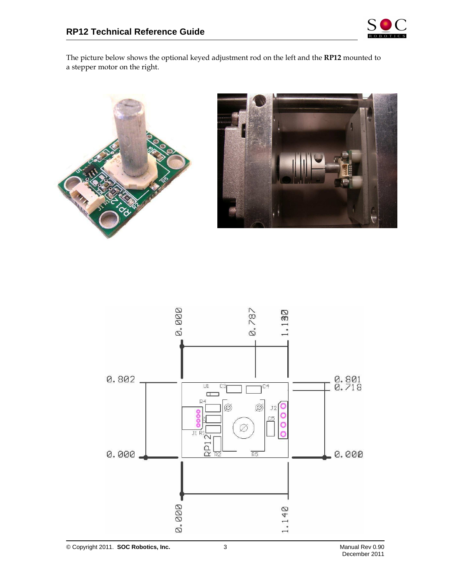

The picture below shows the optional keyed adjustment rod on the left and the RP12 mounted to a stepper motor on the right.





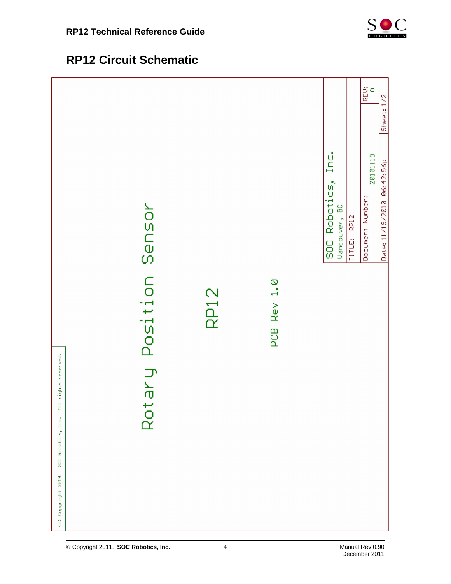

## **RP12 Circuit Schematic**

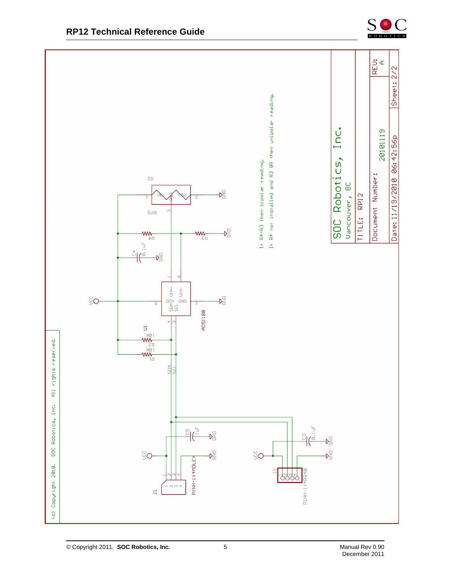